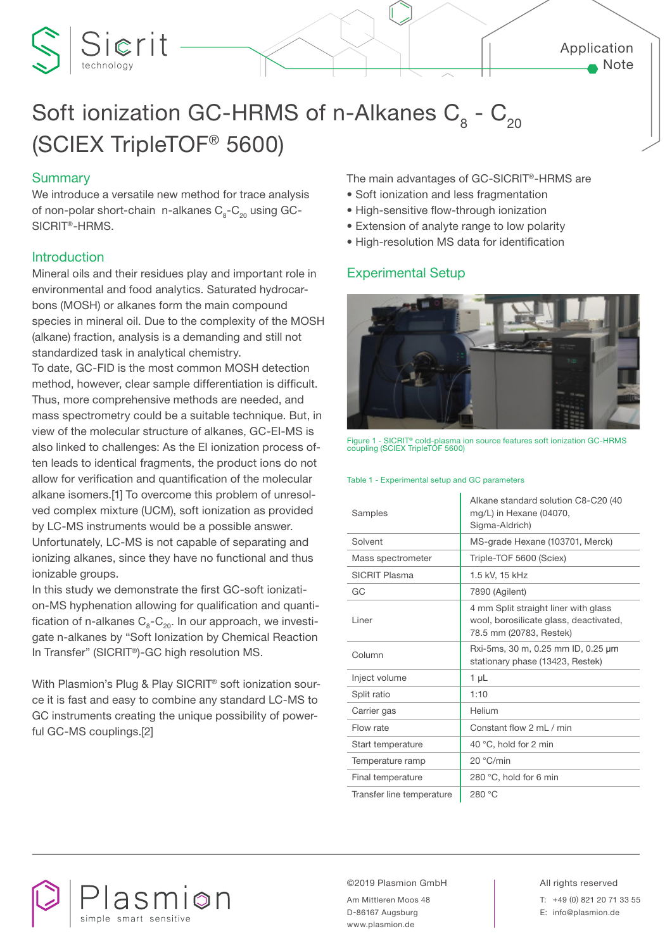# Sierit Soft ionization GC-HRMS of n-Alkanes  $C_8$  -  $C_{20}$

## (SCIEX TripleTOF® 5600)

### **Summary**

We introduce a versatile new method for trace analysis of non-polar short-chain n-alkanes  $C_2$ - $C_2$  using GC-SICRIT®-HRMS.

#### Introduction

Mineral oils and their residues play and important role in environmental and food analytics. Saturated hydrocarbons (MOSH) or alkanes form the main compound species in mineral oil. Due to the complexity of the MOSH (alkane) fraction, analysis is a demanding and still not standardized task in analytical chemistry.

To date, GC-FID is the most common MOSH detection method, however, clear sample differentiation is difficult. Thus, more comprehensive methods are needed, and mass spectrometry could be a suitable technique. But, in view of the molecular structure of alkanes, GC-EI-MS is also linked to challenges: As the EI ionization process often leads to identical fragments, the product ions do not allow for verification and quantification of the molecular alkane isomers.[1] To overcome this problem of unresolved complex mixture (UCM), soft ionization as provided by LC-MS instruments would be a possible answer. Unfortunately, LC-MS is not capable of separating and ionizing alkanes, since they have no functional and thus ionizable groups.

In this study we demonstrate the first GC-soft ionization-MS hyphenation allowing for qualification and quantification of n-alkanes  $C_8-C_{20}$ . In our approach, we investigate n-alkanes by "Soft Ionization by Chemical Reaction In Transfer" (SICRIT®)-GC high resolution MS.

With Plasmion's Plug & Play SICRIT® soft ionization source it is fast and easy to combine any standard LC-MS to GC instruments creating the unique possibility of powerful GC-MS couplings.[2]

The main advantages of GC-SICRIT®-HRMS are

- Soft ionization and less fragmentation
- High-sensitive flow-through ionization
- Extension of analyte range to low polarity
- High-resolution MS data for identification

#### Experimental Setup



Figure 1 - SICRIT® cold-plasma ion source features soft ionization GC-HRMS coupling (SCIEX TripleTOF 5600)

#### Table 1 - Experimental setup and GC parameters

| Samples                   | Alkane standard solution C8-C20 (40<br>mg/L) in Hexane (04070,<br>Sigma-Aldrich)                          |
|---------------------------|-----------------------------------------------------------------------------------------------------------|
| Solvent                   | MS-grade Hexane (103701, Merck)                                                                           |
| Mass spectrometer         | Triple-TOF 5600 (Sciex)                                                                                   |
| <b>SICRIT Plasma</b>      | 1.5 kV, 15 kHz                                                                                            |
| GC                        | 7890 (Agilent)                                                                                            |
| I iner                    | 4 mm Split straight liner with glass<br>wool, borosilicate glass, deactivated,<br>78.5 mm (20783, Restek) |
| Column                    | Rxi-5ms, 30 m, 0.25 mm ID, 0.25 µm<br>stationary phase (13423, Restek)                                    |
| Inject volume             | $1 \mu L$                                                                                                 |
| Split ratio               | 1:10                                                                                                      |
| Carrier gas               | Helium                                                                                                    |
| Flow rate                 | Constant flow 2 mL / min                                                                                  |
| Start temperature         | 40 °C, hold for 2 min                                                                                     |
| Temperature ramp          | 20 °C/min                                                                                                 |
| Final temperature         | 280 °C, hold for 6 min                                                                                    |
| Transfer line temperature | 280 °C                                                                                                    |



©2019 Plasmion GmbH All rights reserved

Am Mittleren Moos 48 D-86167 Augsburg www.plasmion.de

T: +49 (0) 821 20 71 33 55 E: info@plasmion.de

Application

Note